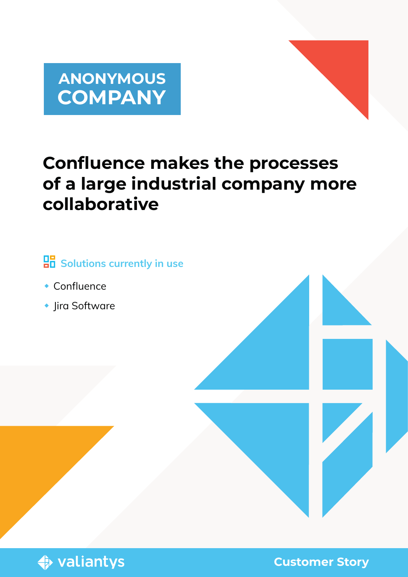



# **Confluence makes the processes of a large industrial company more collaborative**

# **Bolutions currently in use**

- Confluence
- ◆ Jira Software



**Customer Story**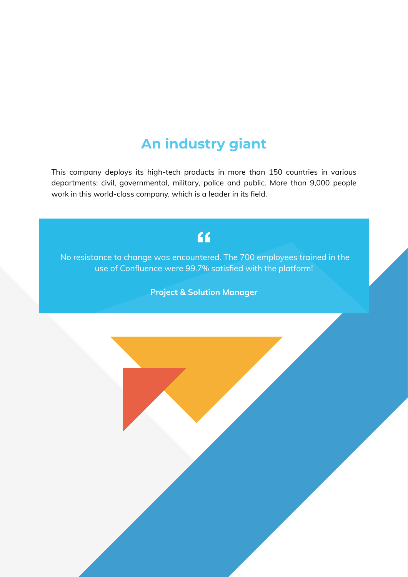## **An industry giant**

This company deploys its high-tech products in more than 150 countries in various departments: civil, governmental, military, police and public. More than 9,000 people work in this world-class company, which is a leader in its field.

## $\epsilon$

 No resistance to change was encountered. The 700 employees trained in the use of Confluence were 99.7% satisfied with the platform!

Project & Solution Manager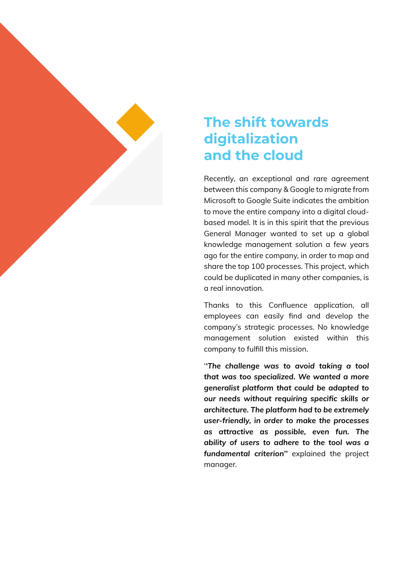

## **The shift towards digitalization and the cloud**

Recently, an exceptional and rare agreement between this company & Google to migrate from Microsoft to Google Suite indicates the ambition to move the entire company into a digital cloudbased model. It is in this spirit that the previous General Manager wanted to set up a global knowledge management solution a few years ago for the entire company, in order to map and share the top 100 processes. This project, which could be duplicated in many other companies, is a real innovation.

Thanks to this Confluence application, all employees can easily find and develop the company's strategic processes. No knowledge management solution existed within this company to fulfill this mission.

'*'The challenge was to avoid taking a tool that was too specialized. We wanted a more generalist platform that could be adapted to our needs without requiring specific skills or architecture. The platform had to be extremely user-friendly, in order to make the processes as attractive as possible, even fun. The ability of users to adhere to the tool was a fundamental criterion''* explained the project manager.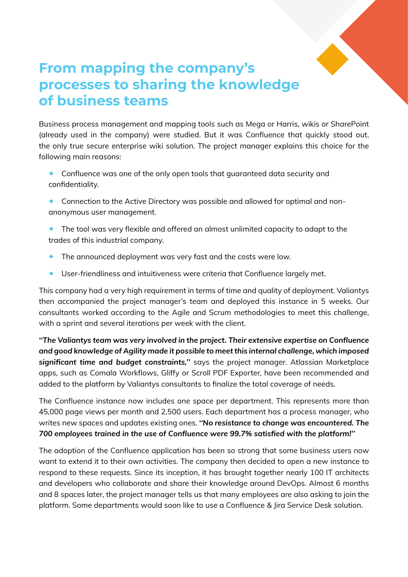

## **From mapping the company's processes to sharing the knowledge of business teams**

Business process management and mapping tools such as Mega or Harris, wikis or SharePoint (already used in the company) were studied. But it was Confluence that quickly stood out, the only true secure enterprise wiki solution. The project manager explains this choice for the following main reasons:

- ® Confluence was one of the only open tools that guaranteed data security and confidentiality.
- ® Connection to the Active Directory was possible and allowed for optimal and nonanonymous user management.
- ® The tool was very flexible and offered an almost unlimited capacity to adapt to the trades of this industrial company.
- $\bullet$  The announced deployment was very fast and the costs were low.
- ® User-friendliness and intuitiveness were criteria that Confluence largely met.

This company had a very high requirement in terms of time and quality of deployment. Valiantys then accompanied the project manager's team and deployed this instance in 5 weeks. Our consultants worked according to the Agile and Scrum methodologies to meet this challenge, with a sprint and several iterations per week with the client.

*''The Valiantys team was very involved in the project. Their extensive expertise on Confluence and good knowledge of Agility made it possible to meet this internal challenge, which imposed significant time and budget constraints,''* says the project manager. Atlassian Marketplace apps, such as Comala Workflows, Gliffy or Scroll PDF Exporter, have been recommended and added to the platform by Valiantys consultants to finalize the total coverage of needs.

The Confluence instance now includes one space per department. This represents more than 45,000 page views per month and 2,500 users. Each department has a process manager, who writes new spaces and updates existing ones. *''No resistance to change was encountered. The 700 employees trained in the use of Confluence were 99.7% satisfied with the platform!''*

The adoption of the Confluence application has been so strong that some business users now want to extend it to their own activities. The company then decided to open a new instance to respond to these requests. Since its inception, it has brought together nearly 100 IT architects and developers who collaborate and share their knowledge around DevOps. Almost 6 months and 8 spaces later, the project manager tells us that many employees are also asking to join the platform. Some departments would soon like to use a Confluence & Jira Service Desk solution.